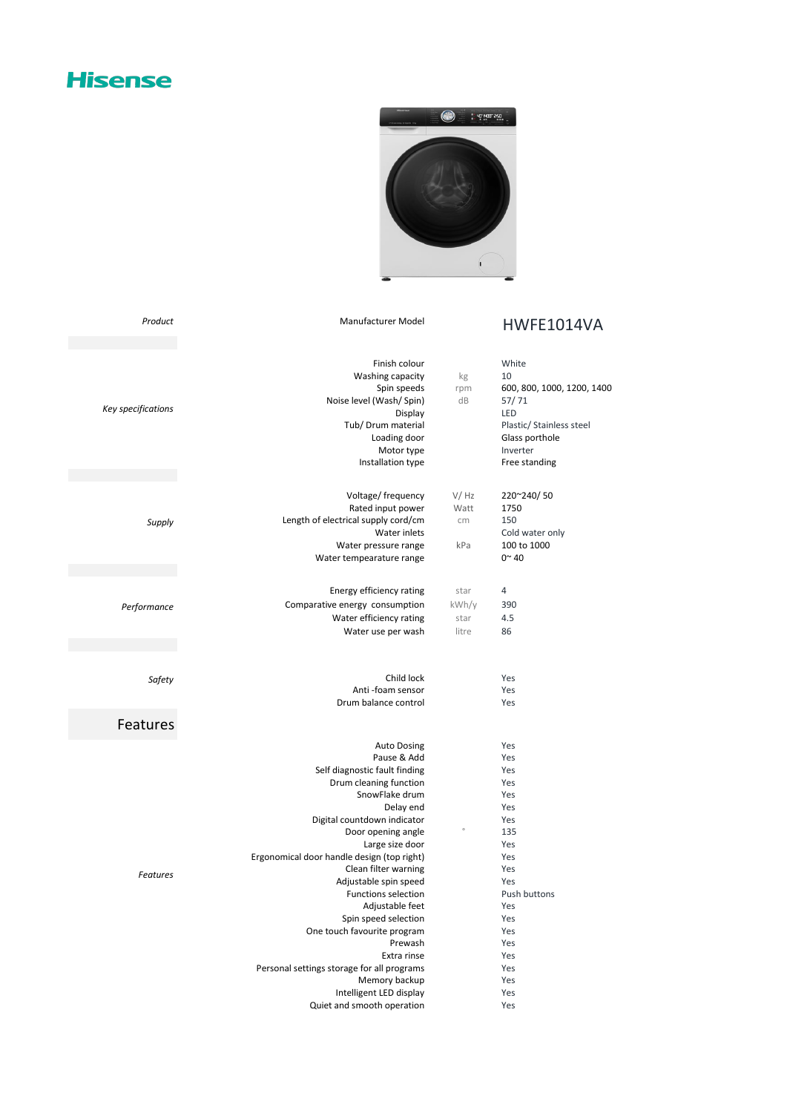## **Hisense**



| Key specifications |
|--------------------|
|                    |
| Supply             |
|                    |
| Performance        |
|                    |
| Safety             |
| Features           |
|                    |
| Features           |
|                    |